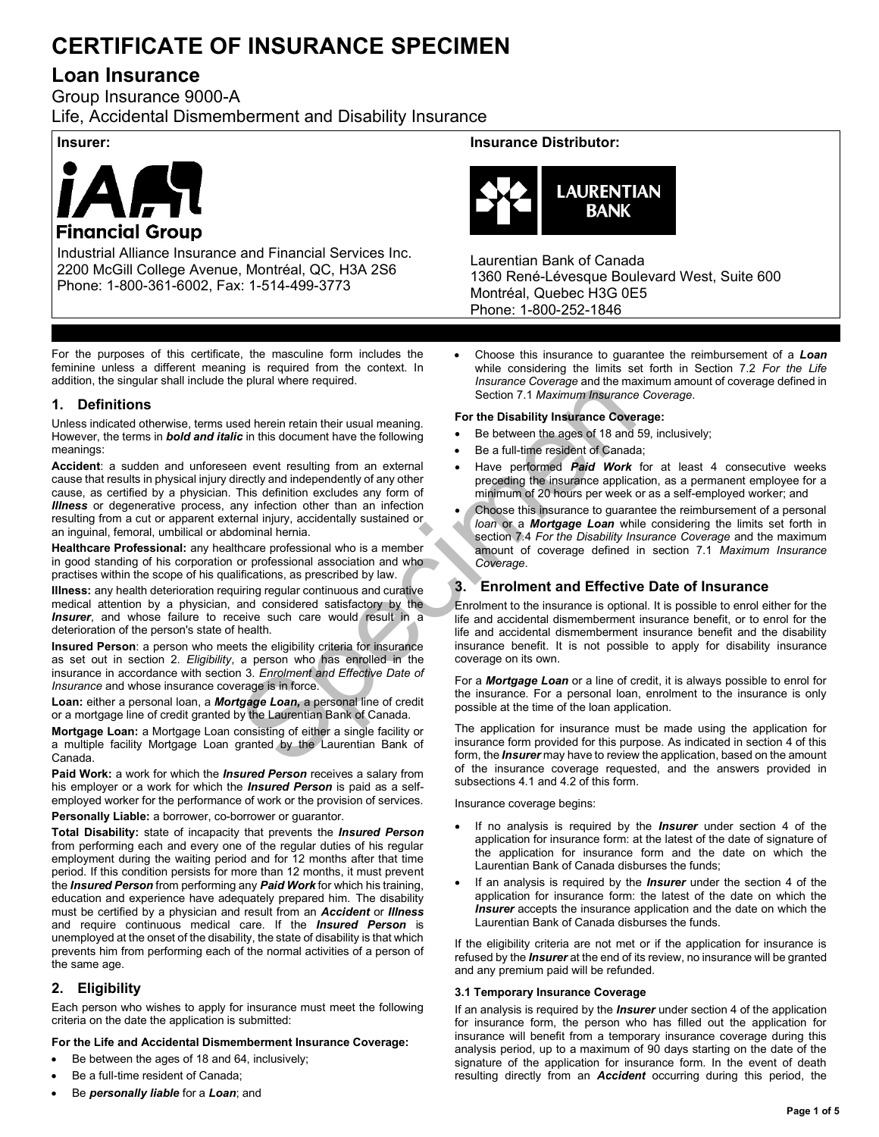# **CERTIFICATE OF INSURANCE SPECIMEN**

# **Loan Insurance**

Group Insurance 9000-A Life, Accidental Dismemberment and Disability Insurance



Industrial Alliance Insurance and Financial Services Inc. 2200 McGill College Avenue, Montréal, QC, H3A 2S6 Phone: 1-800-361-6002, Fax: 1-514-499-3773

For the purposes of this certificate, the masculine form includes the feminine unless a different meaning is required from the context. In addition, the singular shall include the plural where required.

# **1. Definitions**

Unless indicated otherwise, terms used herein retain their usual meaning. However, the terms in *bold and italic* in this document have the following meanings:

Spection 7.1 Maximum Insurance<br>
Section 7.1 Maximum Insurance<br>
C in this document have the following<br>
Section 7.1 Maximum Insurance<br>
Section 7.1 Maximum Insurance<br>
Section 7.1 Maximum Insurance<br>
This document have the foll **Accident**: a sudden and unforeseen event resulting from an external cause that results in physical injury directly and independently of any other cause, as certified by a physician. This definition excludes any form of *Illness* or degenerative process, any infection other than an infection resulting from a cut or apparent external injury, accidentally sustained or an inguinal, femoral, umbilical or abdominal hernia.

**Healthcare Professional:** any healthcare professional who is a member in good standing of his corporation or professional association and who practises within the scope of his qualifications, as prescribed by law.

**Illness:** any health deterioration requiring regular continuous and curative medical attention by a physician, and considered satisfactory by the **Insurer**, and whose failure to receive such care would result in a deterioration of the person's state of health.

**Insured Person**: a person who meets the eligibility criteria for insurance as set out in section 2. *Eligibility*, a person who has enrolled in the insurance in accordance with section 3. *Enrolment and Effective Date of Insurance* and whose insurance coverage is in force.

**Loan:** either a personal loan, a *Mortgage Loan,* a personal line of credit or a mortgage line of credit granted by the Laurentian Bank of Canada.

**Mortgage Loan:** a Mortgage Loan consisting of either a single facility or a multiple facility Mortgage Loan granted by the Laurentian Bank of Canada.

**Paid Work:** a work for which the *Insured Person* receives a salary from his employer or a work for which the *Insured Person* is paid as a selfemployed worker for the performance of work or the provision of services.

**Personally Liable:** a borrower, co-borrower or guarantor.

**Total Disability:** state of incapacity that prevents the *Insured Person* from performing each and every one of the regular duties of his regular employment during the waiting period and for 12 months after that time period. If this condition persists for more than 12 months, it must prevent the *Insured Person* from performing any *Paid Work* for which his training, education and experience have adequately prepared him. The disability must be certified by a physician and result from an *Accident* or *Illness* and require continuous medical care. If the *Insured Person* is unemployed at the onset of the disability, the state of disability is that which prevents him from performing each of the normal activities of a person of the same age.

# **2. Eligibility**

Each person who wishes to apply for insurance must meet the following criteria on the date the application is submitted:

# **For the Life and Accidental Dismemberment Insurance Coverage:**

- Be between the ages of 18 and 64, inclusively;
- Be a full-time resident of Canada;
- Be *personally liable* for a *Loan*; and

# **Insurer: Insurance Distributor:**



Laurentian Bank of Canada 1360 René-Lévesque Boulevard West, Suite 600 Montréal, Quebec H3G 0E5 Phone: 1-800-252-1846

• Choose this insurance to guarantee the reimbursement of a *Loan* while considering the limits set forth in Section 7.2 *For the Life Insurance Coverage* and the maximum amount of coverage defined in Section 7.1 *Maximum Insurance Coverage*.

### **For the Disability Insurance Coverage:**

- Be between the ages of 18 and 59, inclusively;
- Be a full-time resident of Canada;
- Have performed *Paid Work* for at least 4 consecutive weeks preceding the insurance application, as a permanent employee for a minimum of 20 hours per week or as a self-employed worker; and
- Choose this insurance to guarantee the reimbursement of a personal *loan* or a *Mortgage Loan* while considering the limits set forth in section 7.4 *For the Disability Insurance Coverage* and the maximum amount of coverage defined in section 7.1 *Maximum Insurance Coverage*.

# **3. Enrolment and Effective Date of Insurance**

Enrolment to the insurance is optional. It is possible to enrol either for the life and accidental dismemberment insurance benefit, or to enrol for the life and accidental dismemberment insurance benefit and the disability insurance benefit. It is not possible to apply for disability insurance coverage on its own.

For a *Mortgage Loan* or a line of credit, it is always possible to enrol for the insurance. For a personal loan, enrolment to the insurance is only possible at the time of the loan application.

The application for insurance must be made using the application for insurance form provided for this purpose. As indicated in section 4 of this form, the *Insurer* may have to review the application, based on the amount of the insurance coverage requested, and the answers provided in subsections 4.1 and 4.2 of this form.

Insurance coverage begins:

- If no analysis is required by the *Insurer* under section 4 of the application for insurance form: at the latest of the date of signature of the application for insurance form and the date on which the Laurentian Bank of Canada disburses the funds;
- If an analysis is required by the *Insurer* under the section 4 of the application for insurance form: the latest of the date on which the *Insurer* accepts the insurance application and the date on which the Laurentian Bank of Canada disburses the funds.

If the eligibility criteria are not met or if the application for insurance is refused by the *Insurer* at the end of its review, no insurance will be granted and any premium paid will be refunded.

### **3.1 Temporary Insurance Coverage**

If an analysis is required by the *Insurer* under section 4 of the application for insurance form, the person who has filled out the application for insurance will benefit from a temporary insurance coverage during this analysis period, up to a maximum of 90 days starting on the date of the signature of the application for insurance form. In the event of death resulting directly from an *Accident* occurring during this period, the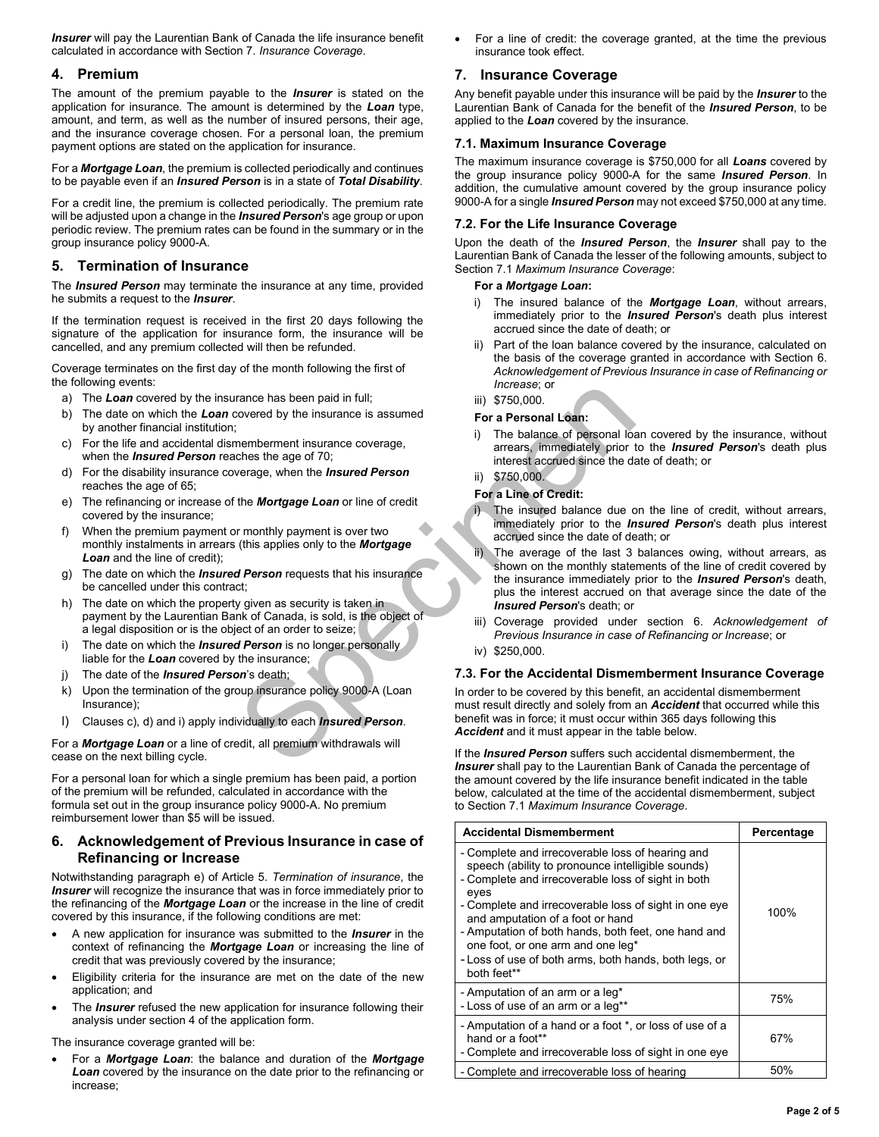**Insurer** will pay the Laurentian Bank of Canada the life insurance benefit calculated in accordance with Section 7. *Insurance Coverage*.

# **4. Premium**

The amount of the premium payable to the *Insurer* is stated on the application for insurance. The amount is determined by the *Loan* type, amount, and term, as well as the number of insured persons, their age, and the insurance coverage chosen. For a personal loan, the premium payment options are stated on the application for insurance.

For a *Mortgage Loan*, the premium is collected periodically and continues to be payable even if an *Insured Person* is in a state of *Total Disability*.

For a credit line, the premium is collected periodically. The premium rate will be adjusted upon a change in the *Insured Person*'s age group or upon periodic review. The premium rates can be found in the summary or in the group insurance policy 9000-A.

# **5. Termination of Insurance**

The *Insured Person* may terminate the insurance at any time, provided he submits a request to the *Insurer*.

If the termination request is received in the first 20 days following the signature of the application for insurance form, the insurance will be cancelled, and any premium collected will then be refunded.

Coverage terminates on the first day of the month following the first of the following events:

- a) The *Loan* covered by the insurance has been paid in full;
- b) The date on which the *Loan* covered by the insurance is assumed by another financial institution;
- c) For the life and accidental dismemberment insurance coverage, when the *Insured Person* reaches the age of 70;
- d) For the disability insurance coverage, when the *Insured Person*  reaches the age of 65;
- e) The refinancing or increase of the *Mortgage Loan* or line of credit covered by the insurance;
- f) When the premium payment or monthly payment is over two monthly instalments in arrears (this applies only to the *Mortgage*  **Loan** and the line of credit):
- g) The date on which the *Insured Person* requests that his insurance be cancelled under this contract;
- h) The date on which the property given as security is taken in payment by the Laurentian Bank of Canada, is sold, is the object of a legal disposition or is the object of an order to seize;
- i) The date on which the *Insured Person* is no longer personally liable for the *Loan* covered by the insurance;
- j) The date of the *Insured Person*'s death;
- k) Upon the termination of the group insurance policy 9000-A (Loan Insurance);
- l) Clauses c), d) and i) apply individually to each *Insured Person*.

For a *Mortgage Loan* or a line of credit, all premium withdrawals will cease on the next billing cycle.

For a personal loan for which a single premium has been paid, a portion of the premium will be refunded, calculated in accordance with the formula set out in the group insurance policy 9000-A. No premium reimbursement lower than \$5 will be issued.

# **6. Acknowledgement of Previous Insurance in case of Refinancing or Increase**

Notwithstanding paragraph e) of Article 5. *Termination of insurance*, the **Insurer** will recognize the insurance that was in force immediately prior to the refinancing of the *Mortgage Loan* or the increase in the line of credit covered by this insurance, if the following conditions are met:

- A new application for insurance was submitted to the *Insurer* in the context of refinancing the *Mortgage Loan* or increasing the line of credit that was previously covered by the insurance;
- Eligibility criteria for the insurance are met on the date of the new application; and
- The *Insurer* refused the new application for insurance following their analysis under section 4 of the application form.

The insurance coverage granted will be:

• For a *Mortgage Loan*: the balance and duration of the *Mortgage Loan* covered by the insurance on the date prior to the refinancing or increase;

• For a line of credit: the coverage granted, at the time the previous insurance took effect.

# **7. Insurance Coverage**

Any benefit payable under this insurance will be paid by the *Insurer* to the Laurentian Bank of Canada for the benefit of the *Insured Person*, to be applied to the *Loan* covered by the insurance.

#### **7.1. Maximum Insurance Coverage**

The maximum insurance coverage is \$750,000 for all *Loans* covered by the group insurance policy 9000-A for the same *Insured Person*. In addition, the cumulative amount covered by the group insurance policy 9000-A for a single *Insured Person* may not exceed \$750,000 at any time.

#### **7.2. For the Life Insurance Coverage**

Upon the death of the *Insured Person*, the *Insurer* shall pay to the Laurentian Bank of Canada the lesser of the following amounts, subject to Section 7.1 *Maximum Insurance Coverage*:

#### **For a** *Mortgage Loan***:**

- i) The insured balance of the *Mortgage Loan*, without arrears, immediately prior to the *Insured Person*'s death plus interest accrued since the date of death; or
- Part of the loan balance covered by the insurance, calculated on the basis of the coverage granted in accordance with Section 6. *Acknowledgement of Previous Insurance in case of Refinancing or Increase*; or

# iii) \$750,000.

#### **For a Personal Loan:**

i) The balance of personal loan covered by the insurance, without arrears, immediately prior to the *Insured Person*'s death plus interest accrued since the date of death; or

# ii) \$750,000.

# **For a Line of Credit:**

- The insured balance due on the line of credit, without arrears, immediately prior to the *Insured Person*'s death plus interest accrued since the date of death; or
- rance has been paid in full;<br>
species the age of 70;<br>
iii) \$750,000.<br>
If the balance of personal Loan:<br>
iii) \$750,000.<br>
the Mortgage Loan or line of credit<br>
the Mortgage Loan or line of credit<br>
the Mortgage Loan or line of The average of the last 3 balances owing, without arrears, as shown on the monthly statements of the line of credit covered by the insurance immediately prior to the *Insured Person*'s death, plus the interest accrued on that average since the date of the *Insured Person*'s death; or
	- iii) Coverage provided under section 6. *Acknowledgement of Previous Insurance in case of Refinancing or Increase*; or
	- iv) \$250,000.

### **7.3. For the Accidental Dismemberment Insurance Coverage**

In order to be covered by this benefit, an accidental dismemberment must result directly and solely from an *Accident* that occurred while this benefit was in force; it must occur within 365 days following this *Accident* and it must appear in the table below.

If the *Insured Person* suffers such accidental dismemberment, the *Insurer* shall pay to the Laurentian Bank of Canada the percentage of the amount covered by the life insurance benefit indicated in the table below, calculated at the time of the accidental dismemberment, subject to Section 7.1 *Maximum Insurance Coverage*.

| <b>Accidental Dismemberment</b>                                                                                                                                                                                                                                                                                                                                                                                                      | Percentage |
|--------------------------------------------------------------------------------------------------------------------------------------------------------------------------------------------------------------------------------------------------------------------------------------------------------------------------------------------------------------------------------------------------------------------------------------|------------|
| - Complete and irrecoverable loss of hearing and<br>speech (ability to pronounce intelligible sounds)<br>- Complete and irrecoverable loss of sight in both<br>eyes<br>- Complete and irrecoverable loss of sight in one eye<br>and amputation of a foot or hand<br>- Amputation of both hands, both feet, one hand and<br>one foot, or one arm and one leg*<br>- Loss of use of both arms, both hands, both legs, or<br>both feet** | 100%       |
| - Amputation of an arm or a leg*<br>- Loss of use of an arm or a leg**                                                                                                                                                                                                                                                                                                                                                               | 75%        |
| - Amputation of a hand or a foot *, or loss of use of a<br>hand or a foot**<br>- Complete and irrecoverable loss of sight in one eye                                                                                                                                                                                                                                                                                                 | 67%        |
| - Complete and irrecoverable loss of hearing                                                                                                                                                                                                                                                                                                                                                                                         | 50%        |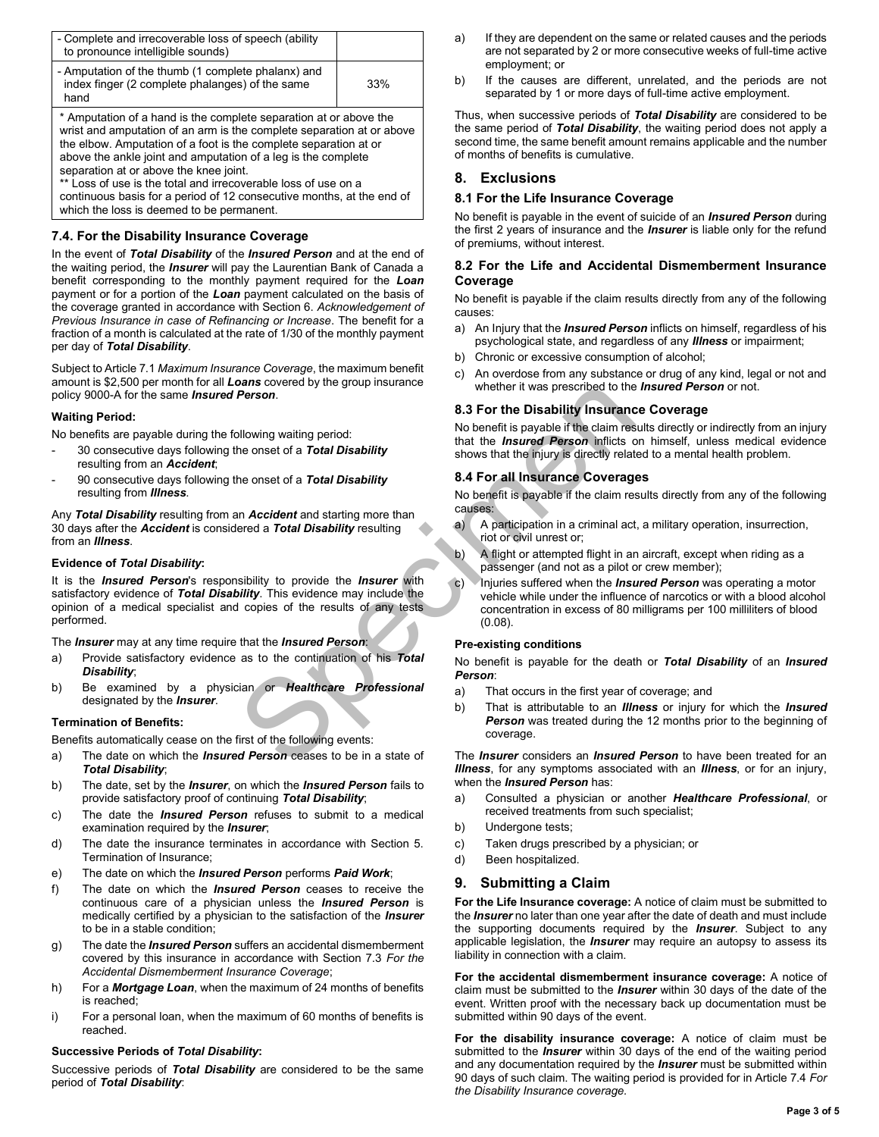| - Complete and irrecoverable loss of speech (ability<br>to pronounce intelligible sounds)                     |     |
|---------------------------------------------------------------------------------------------------------------|-----|
| - Amputation of the thumb (1 complete phalanx) and<br>index finger (2 complete phalanges) of the same<br>hand | 33% |
| * Amputation of a hand is the complete separation at or above the                                             |     |

wrist and amputation of an arm is the complete separation at or above the elbow. Amputation of a foot is the complete separation at or above the ankle joint and amputation of a leg is the complete separation at or above the knee joint.

\*\* Loss of use is the total and irrecoverable loss of use on a continuous basis for a period of 12 consecutive months, at the end of which the loss is deemed to be permanent.

# **7.4. For the Disability Insurance Coverage**

In the event of *Total Disability* of the *Insured Person* and at the end of the waiting period, the *Insurer* will pay the Laurentian Bank of Canada a benefit corresponding to the monthly payment required for the *Loan* payment or for a portion of the *Loan* payment calculated on the basis of the coverage granted in accordance with Section 6. *Acknowledgement of Previous Insurance in case of Refinancing or Increase*. The benefit for a fraction of a month is calculated at the rate of 1/30 of the monthly payment per day of *Total Disability*.

Subject to Article 7.1 *Maximum Insurance Coverage*, the maximum benefit amount is \$2,500 per month for all *Loans* covered by the group insurance policy 9000-A for the same *Insured Person*.

#### **Waiting Period:**

No benefits are payable during the following waiting period:

- 30 consecutive days following the onset of a *Total Disability* resulting from an *Accident*;
- 90 consecutive days following the onset of a *Total Disability* resulting from *Illness*.

Any *Total Disability* resulting from an *Accident* and starting more than 30 days after the *Accident* is considered a *Total Disability* resulting from an *Illness*.

#### **Evidence of** *Total Disability***:**

**Person.**<br> **Species the consect of a Total Disability**<br> **Species the consect of a Total Disability**<br> **Species the consect of a Total Disability**<br> **Species the consect of a Total Disability**<br> **Species**<br> **Special Insurance C** It is the *Insured Person*'s responsibility to provide the *Insurer* with satisfactory evidence of *Total Disability*. This evidence may include the opinion of a medical specialist and copies of the results of any tests performed.

The *Insurer* may at any time require that the *Insured Person*:

- a) Provide satisfactory evidence as to the continuation of his *Total Disability*;
- b) Be examined by a physician or *Healthcare Professional* designated by the *Insurer*.

#### **Termination of Benefits:**

Benefits automatically cease on the first of the following events:

- a) The date on which the *Insured Person* ceases to be in a state of *Total Disability*;
- b) The date, set by the *Insurer*, on which the *Insured Person* fails to provide satisfactory proof of continuing *Total Disability*;
- c) The date the *Insured Person* refuses to submit to a medical examination required by the *Insurer*;
- d) The date the insurance terminates in accordance with Section 5. Termination of Insurance;
- e) The date on which the *Insured Person* performs *Paid Work*;
- f) The date on which the *Insured Person* ceases to receive the continuous care of a physician unless the *Insured Person* is medically certified by a physician to the satisfaction of the *Insurer* to be in a stable condition;
- g) The date the *Insured Person* suffers an accidental dismemberment covered by this insurance in accordance with Section 7.3 *For the Accidental Dismemberment Insurance Coverage*;
- h) For a *Mortgage Loan*, when the maximum of 24 months of benefits is reached;
- i) For a personal loan, when the maximum of 60 months of benefits is reached.

#### **Successive Periods of** *Total Disability***:**

Successive periods of *Total Disability* are considered to be the same period of *Total Disability*:

- a) If they are dependent on the same or related causes and the periods are not separated by 2 or more consecutive weeks of full-time active employment; or
- b) If the causes are different, unrelated, and the periods are not separated by 1 or more days of full-time active employment.

Thus, when successive periods of *Total Disability* are considered to be the same period of *Total Disability*, the waiting period does not apply a second time, the same benefit amount remains applicable and the number of months of benefits is cumulative.

# **8. Exclusions**

# **8.1 For the Life Insurance Coverage**

No benefit is payable in the event of suicide of an *Insured Person* during the first 2 years of insurance and the *Insurer* is liable only for the refund of premiums, without interest.

#### **8.2 For the Life and Accidental Dismemberment Insurance Coverage**

No benefit is payable if the claim results directly from any of the following causes:

- a) An Injury that the *Insured Person* inflicts on himself, regardless of his psychological state, and regardless of any *Illness* or impairment;
- b) Chronic or excessive consumption of alcohol;
- c) An overdose from any substance or drug of any kind, legal or not and whether it was prescribed to the *Insured Person* or not.

### **8.3 For the Disability Insurance Coverage**

No benefit is payable if the claim results directly or indirectly from an injury that the *Insured Person* inflicts on himself, unless medical evidence shows that the injury is directly related to a mental health problem.

#### **8.4 For all Insurance Coverages**

No benefit is payable if the claim results directly from any of the following causes:

- a) A participation in a criminal act, a military operation, insurrection, riot or civil unrest or;
- b) A flight or attempted flight in an aircraft, except when riding as a passenger (and not as a pilot or crew member);
- c) Injuries suffered when the *Insured Person* was operating a motor vehicle while under the influence of narcotics or with a blood alcohol concentration in excess of 80 milligrams per 100 milliliters of blood (0.08).

#### **Pre-existing conditions**

No benefit is payable for the death or *Total Disability* of an *Insured Person*:

- a) That occurs in the first year of coverage; and
- b) That is attributable to an *Illness* or injury for which the *Insured*  **Person** was treated during the 12 months prior to the beginning of coverage.

The *Insurer* considers an *Insured Person* to have been treated for an *Illness*, for any symptoms associated with an *Illness*, or for an injury, when the *Insured Person* has:

- a) Consulted a physician or another *Healthcare Professional*, or received treatments from such specialist;
- b) Undergone tests;
- c) Taken drugs prescribed by a physician; or
- d) Been hospitalized.

# **9. Submitting a Claim**

**For the Life Insurance coverage:** A notice of claim must be submitted to the *Insurer* no later than one year after the date of death and must include the supporting documents required by the *Insurer*. Subject to any applicable legislation, the *Insurer* may require an autopsy to assess its liability in connection with a claim.

**For the accidental dismemberment insurance coverage:** A notice of claim must be submitted to the *Insurer* within 30 days of the date of the event. Written proof with the necessary back up documentation must be submitted within 90 days of the event.

**For the disability insurance coverage:** A notice of claim must be submitted to the *Insurer* within 30 days of the end of the waiting period and any documentation required by the *Insurer* must be submitted within 90 days of such claim. The waiting period is provided for in Article 7.4 *For the Disability Insurance coverage.*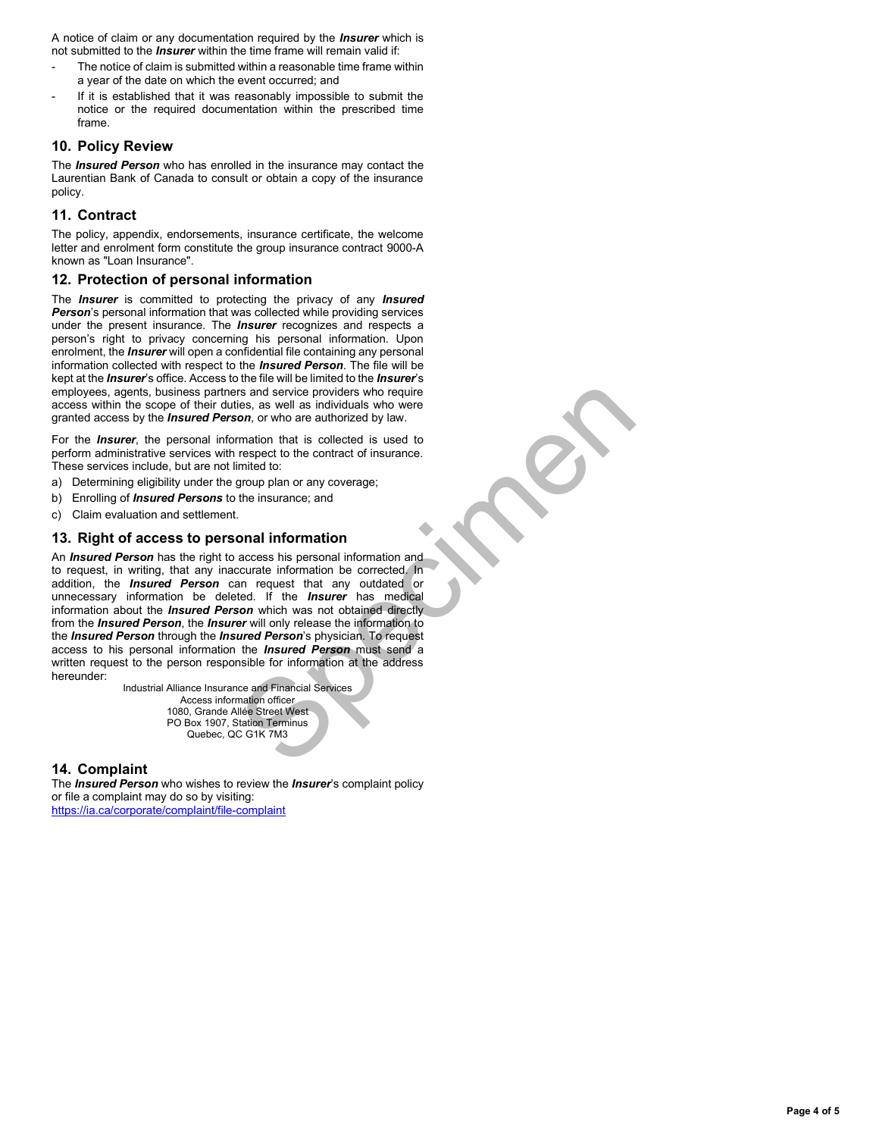A notice of claim or any documentation required by the *Insurer* which is not submitted to the *Insurer* within the time frame will remain valid if:

- The notice of claim is submitted within a reasonable time frame within a year of the date on which the event occurred; and
- If it is established that it was reasonably impossible to submit the notice or the required documentation within the prescribed time frame.

# **10. Policy Review**

The *Insured Person* who has enrolled in the insurance may contact the Laurentian Bank of Canada to consult or obtain a copy of the insurance policy.

# **11. Contract**

The policy, appendix, endorsements, insurance certificate, the welcome letter and enrolment form constitute the group insurance contract 9000-A known as "Loan Insurance".

# **12. Protection of personal information**

The *Insurer* is committed to protecting the privacy of any *Insured Person*'s personal information that was collected while providing services under the present insurance. The *Insurer* recognizes and respects a person's right to privacy concerning his personal information. Upon enrolment, the *Insurer* will open a confidential file containing any personal information collected with respect to the *Insured Person*. The file will be kept at the *Insurer*'s office. Access to the file will be limited to the *Insurer*'s employees, agents, business partners and service providers who require access within the scope of their duties, as well as individuals who were granted access by the *Insured Person*, or who are authorized by law.

For the *Insurer*, the personal information that is collected is used to perform administrative services with respect to the contract of insurance. These services include, but are not limited to:

- a) Determining eligibility under the group plan or any coverage;
- b) Enrolling of *Insured Persons* to the insurance; and
- c) Claim evaluation and settlement.

# **13. Right of access to personal information**

rs and service providers who require<br>
ies, as well as individuals who were<br>
on, or who are authorized by law.<br>
Imation that is collected is used to<br>
respect to the contract of insurance.<br>
group plan or any coverage;<br>
the i An *Insured Person* has the right to access his personal information and to request, in writing, that any inaccurate information be corrected. In addition, the *Insured Person* can request that any outdated or unnecessary information be deleted. If the *Insurer* has medical information about the *Insured Person* which was not obtained directly from the *Insured Person*, the *Insurer* will only release the information to the *Insured Person* through the *Insured Person*'s physician. To request access to his personal information the *Insured Person* must send a written request to the person responsible for information at the address hereunder:

Industrial Alliance Insurance and Financial Services Access information officer 1080, Grande Allée Street West PO Box 1907, Station Terminus Quebec, QC G1K 7M3

# **14. Complaint**

The *Insured Person* who wishes to review the *Insurer*'s complaint policy or file a complaint may do so by visiting: <https://ia.ca/corporate/complaint/file-complaint>